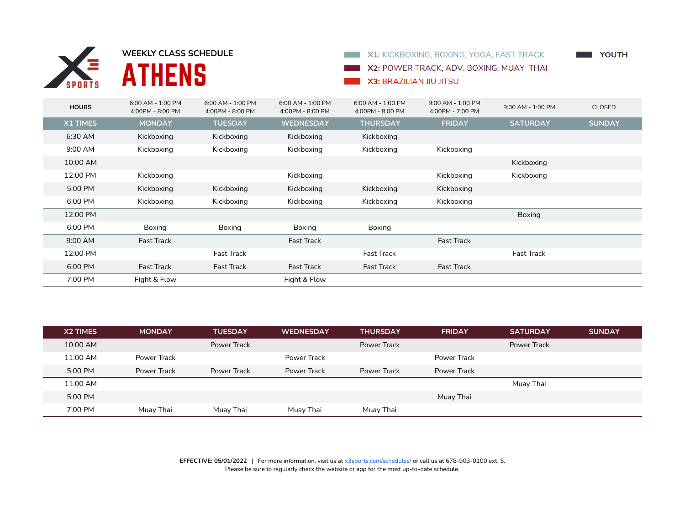

**SPORTS** MEEKLY CLASS SCHEDULE



## **NOVIET STATE**

X2: POWER TRACK, ADV. BOXING, MUAY THAI

## X3: BRAZILIAN JIU JITSU

| <b>HOURS</b>    | 6:00 AM - 1:00 PM<br>4:00PM - 8:00 PM | 6:00 AM - 1:00 PM<br>4:00PM - 8:00 PM | 6:00 AM - 1:00 PM<br>4:00PM - 8:00 PM | 6:00 AM - 1:00 PM<br>4:00PM - 8:00 PM | 9:00 AM - 1:00 PM<br>4:00PM - 7:00 PM | 9:00 AM - 1:00 PM | <b>CLOSED</b> |
|-----------------|---------------------------------------|---------------------------------------|---------------------------------------|---------------------------------------|---------------------------------------|-------------------|---------------|
| <b>X1 TIMES</b> | <b>MONDAY</b>                         | <b>TUESDAY</b>                        | <b>WEDNESDAY</b>                      | <b>THURSDAY</b>                       | <b>FRIDAY</b>                         | <b>SATURDAY</b>   | <b>SUNDAY</b> |
| 6:30 AM         | Kickboxing                            | Kickboxing                            | Kickboxing                            | Kickboxing                            |                                       |                   |               |
| 9:00 AM         | Kickboxing                            | Kickboxing                            | Kickboxing                            | Kickboxing                            | Kickboxing                            |                   |               |
| 10:00 AM        |                                       |                                       |                                       |                                       |                                       | Kickboxing        |               |
| 12:00 PM        | Kickboxing                            |                                       | Kickboxing                            |                                       | Kickboxing                            | Kickboxing        |               |
| 5:00 PM         | Kickboxing                            | Kickboxing                            | Kickboxing                            | Kickboxing                            | Kickboxing                            |                   |               |
| 6:00 PM         | Kickboxing                            | Kickboxing                            | Kickboxing                            | Kickboxing                            | Kickboxing                            |                   |               |
| 12:00 PM        |                                       |                                       |                                       |                                       |                                       | Boxing            |               |
| 6:00 PM         | Boxing                                | Boxing                                | Boxing                                | Boxing                                |                                       |                   |               |
| 9:00 AM         | <b>Fast Track</b>                     |                                       | <b>Fast Track</b>                     |                                       | <b>Fast Track</b>                     |                   |               |
| 12:00 PM        |                                       | <b>Fast Track</b>                     |                                       | <b>Fast Track</b>                     |                                       | <b>Fast Track</b> |               |
| 6:00 PM         | <b>Fast Track</b>                     | <b>Fast Track</b>                     | <b>Fast Track</b>                     | <b>Fast Track</b>                     | <b>Fast Track</b>                     |                   |               |
| 7:00 PM         | Fight & Flow                          |                                       | Fight & Flow                          |                                       |                                       |                   |               |

| X2 TIMES | <b>MONDAY</b> | <b>TUESDAY</b> | <b>WEDNESDAY</b> | <b>THURSDAY</b> | <b>FRIDAY</b> | <b>SATURDAY</b> | <b>SUNDAY</b> |
|----------|---------------|----------------|------------------|-----------------|---------------|-----------------|---------------|
| 10:00 AM |               | Power Track    |                  | Power Track     |               | Power Track     |               |
| 11:00 AM | Power Track   |                | Power Track      |                 | Power Track   |                 |               |
| 5:00 PM  | Power Track   | Power Track    | Power Track      | Power Track     | Power Track   |                 |               |
| 11:00 AM |               |                |                  |                 |               | Muay Thai       |               |
| 5:00 PM  |               |                |                  |                 | Muay Thai     |                 |               |
| 7:00 PM  | Muay Thai     | Muay Thai      | Muay Thai        | Muay Thai       |               |                 |               |

**EFFECTIVE: 05/01/2022** | For more information, visit us at x3sports.com/schedules/ or call us at 678-903-0100 ext. 5. Please be sure to regularly check the website or app for the most up-to-date schedule.